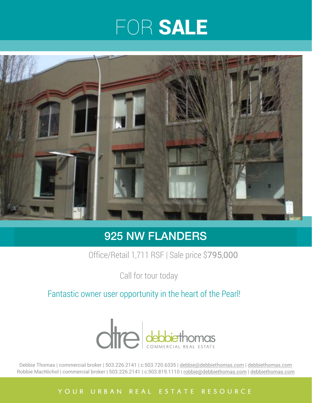## FOR SALE



### 925 NW FLANDERS

Office/Retail 1,711 RSF | Sale price \$795,000

Call for tour today

Fantastic owner user opportunity in the heart of the Pearl!



Debbie Thomas | commercial broker | 503.226.2141 | c:503.720.6335 | [debbie@debbiethomas.com](mailto:debbie@debbiethomas.com) | [debbiethomas.com](http://debbiethomas.com) Robbie MacNichol | commercial broker | 503.226.2141 | c:503.819.1110 | [robbie@debbiethomas.com](mailto:robbie@debbiethomas.com) | [debbiethomas.com](http://debbiethomas.com)

#### YOUR URBAN REAL ESTATE RESOURCE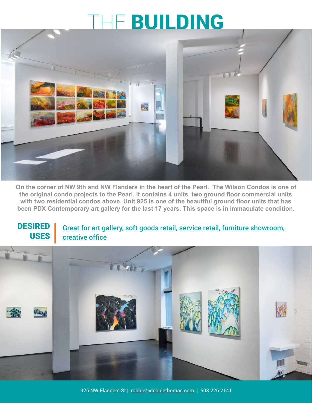### THE BUILDING



**On the corner of NW 9th and NW Flanders in the heart of the Pearl. The Wilson Condos is one of the original condo projects to the Pearl. It contains 4 units, two ground floor commercial units with two residential condos above. Unit 925 is one of the beautiful ground floor units that has been PDX Contemporary art gallery for the last 17 years. This space is in immaculate condition.**

#### DESIRED USES

Great for art gallery, soft goods retail, service retail, furniture showroom, creative office

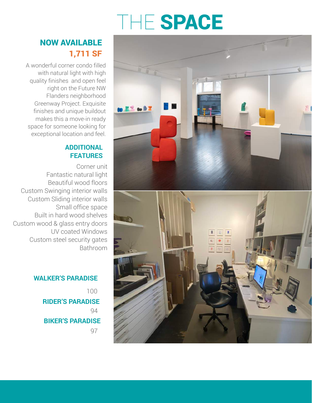## THE SPACE

### 1,711 SF NOW AVAILABLE

A wonderful corner condo filled with natural light with high quality finishes and open feel right on the Future NW Flanders neighborhood Greenway Project. Exquisite finishes and unique buildout makes this a move-in ready space for someone looking for exceptional location and feel.

#### **ADDITIONAL FEATURES**

Corner unit Fantastic natural light Beautiful wood floors Custom Swinging interior walls Custom Sliding interior walls Small office space Built in hard wood shelves Custom wood & glass entry doors UV coated Windows Custom steel security gates Bathroom

> **WALKER'S PARADISE** 100 **RIDER'S PARADISE** 94 **BIKER'S PARADISE** 97



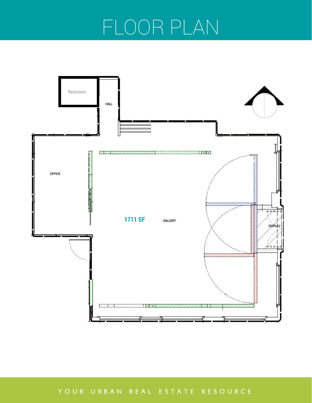## FLOOR PLAN



YOUR URBAN REAL ESTATE RESOURCE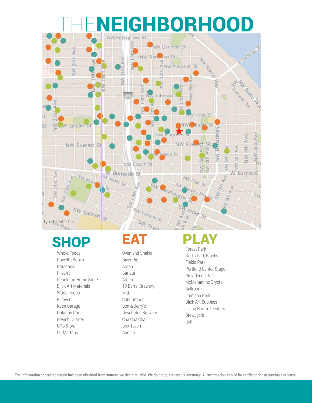# NEIGHBORHOOD



### SHOP EAT

Whole Foods Powell's Books Patagonia Filson's Pendleton Home Store Blick Art Materials World Foods Fjlraven Keen Garage Oblation Print French Quarter UPS Store Dr. Martens

Oven and Shaker River Pig Arden Barista Arden 10 Barrel Brewery MEC Cafe Umbria Ben & Jerry's Deschutes Brewery Cha Cha Cha Brix Tavern Andina

### Forest Park

North Park Blocks Fields Park Portland Center Stage Providence Park McMenamins Crystal Ballroom Jamison Park Blick Art Supplies Living Room Theaters Brewcycle Cult